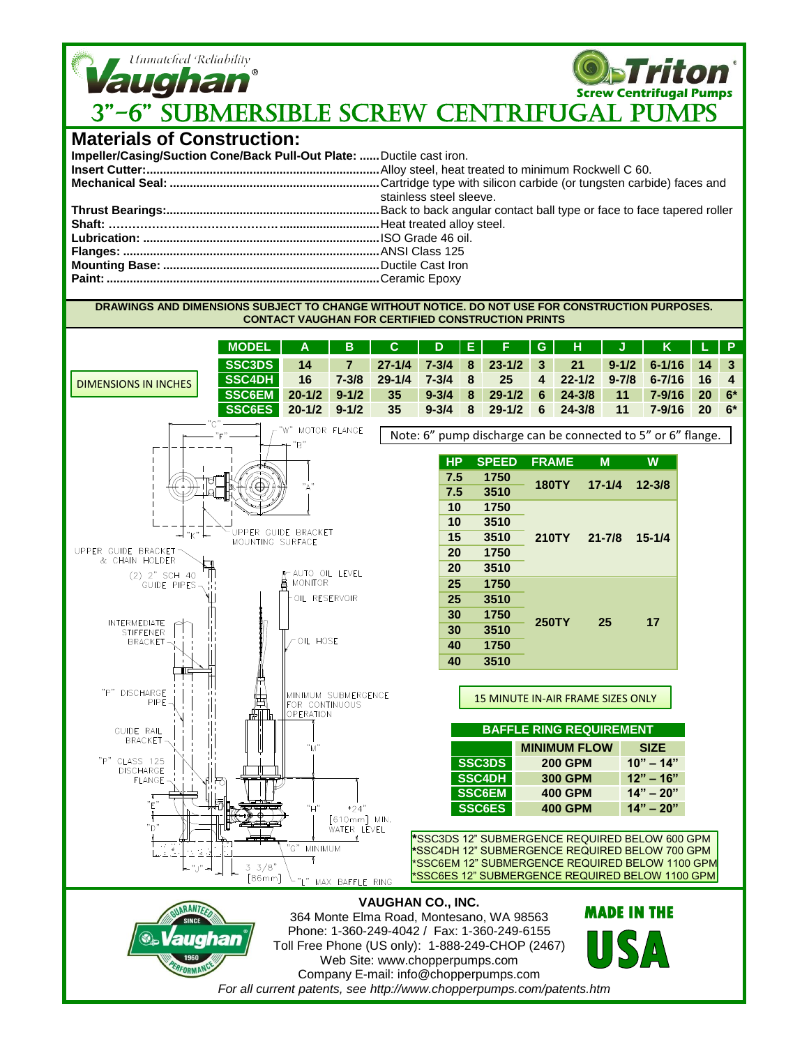

## **Materials of Construction:**

| Impeller/Casing/Suction Cone/Back Pull-Out Plate:  Ductile cast iron. |                         |
|-----------------------------------------------------------------------|-------------------------|
|                                                                       |                         |
|                                                                       |                         |
|                                                                       | stainless steel sleeve. |
|                                                                       |                         |
|                                                                       |                         |
|                                                                       |                         |
|                                                                       |                         |
|                                                                       |                         |
|                                                                       |                         |
|                                                                       |                         |

**DRAWINGS AND DIMENSIONS SUBJECT TO CHANGE WITHOUT NOTICE. DO NOT USE FOR CONSTRUCTION PURPOSES. CONTACT VAUGHAN FOR CERTIFIED CONSTRUCTION PRINTS**